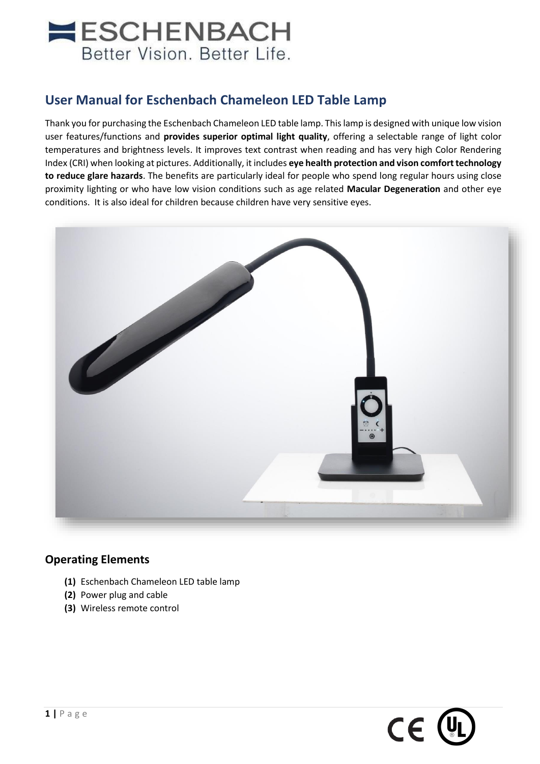# **NESCHENBACH** Better Vision. Better Life.

## **User Manual for Eschenbach Chameleon LED Table Lamp**

Thank you for purchasing the Eschenbach Chameleon LED table lamp. This lamp is designed with unique low vision user features/functions and **provides superior optimal light quality**, offering a selectable range of light color temperatures and brightness levels. It improves text contrast when reading and has very high Color Rendering Index (CRI) when looking at pictures. Additionally, it includes **eye health protection and vison comfort technology to reduce glare hazards**. The benefits are particularly ideal for people who spend long regular hours using close proximity lighting or who have low vision conditions such as age related **Macular Degeneration** and other eye conditions. It is also ideal for children because children have very sensitive eyes.



## **Operating Elements**

- **(1)** Eschenbach Chameleon LED table lamp
- **(2)** Power plug and cable
- **(3)** Wireless remote control

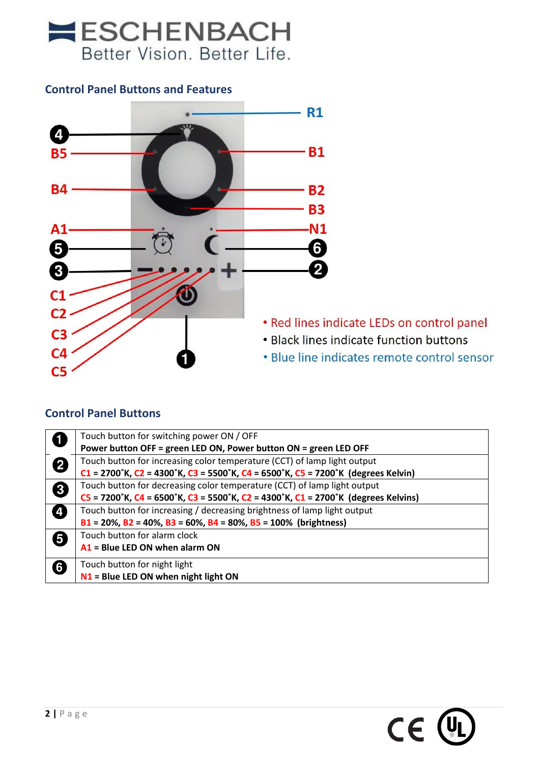

## **Control Panel Buttons and Features**



## **Control Panel Buttons**

|   | Touch button for switching power ON / OFF                                         |
|---|-----------------------------------------------------------------------------------|
|   | Power button OFF = green LED ON, Power button ON = green LED OFF                  |
| 2 | Touch button for increasing color temperature (CCT) of lamp light output          |
|   | C1 = 2700°K, C2 = 4300°K, C3 = 5500°K, C4 = 6500°K, C5 = 7200°K (degrees Kelvin)  |
| € | Touch button for decreasing color temperature (CCT) of lamp light output          |
|   | C5 = 7200°K, C4 = 6500°K, C3 = 5500°K, C2 = 4300°K, C1 = 2700°K (degrees Kelvins) |
| Ø | Touch button for increasing / decreasing brightness of lamp light output          |
|   | $B1 = 20\%$ , $B2 = 40\%$ , $B3 = 60\%$ , $B4 = 80\%$ , $B5 = 100\%$ (brightness) |
| 6 | Touch button for alarm clock                                                      |
|   | $A1$ = Blue LED ON when alarm ON                                                  |
| 6 | Touch button for night light                                                      |
|   | $N1$ = Blue LED ON when night light ON                                            |

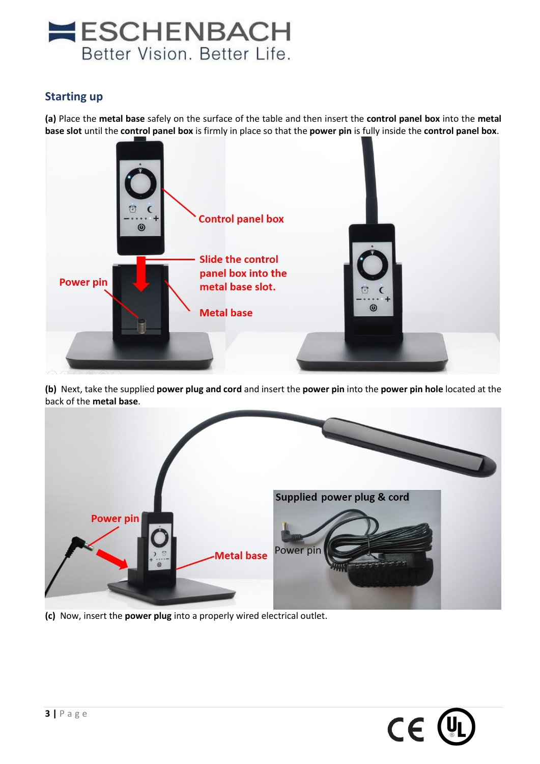

### **Starting up**

**(a)** Place the **metal base** safely on the surface of the table and then insert the **control panel box** into the **metal base slot** until the **control panel box** is firmly in place so that the **power pin** is fully inside the **control panel box**.



**(b)** Next, take the supplied **power plug and cord** and insert the **power pin** into the **power pin hole** located at the back of the **metal base**.



**(c)** Now, insert the **power plug** into a properly wired electrical outlet.

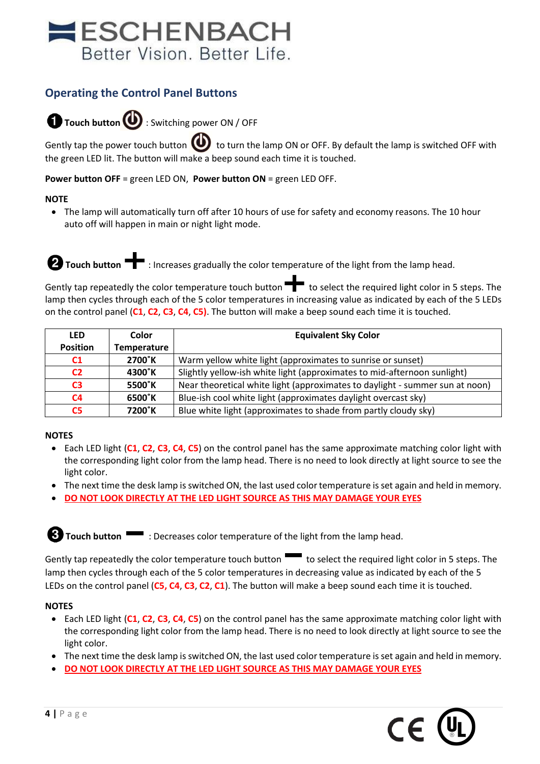## **ESCHENBACH** Better Vision. Better Life.

## **Operating the Control Panel Buttons**

**Touch button** : Switching power ON / OFF

Gently tap the power touch button  $\bigoplus$  to turn the lamp ON or OFF. By default the lamp is switched OFF with the green LED lit. The button will make a beep sound each time it is touched.

**Power button OFF** = green LED ON, **Power button ON** = green LED OFF.

#### **NOTE**

• The lamp will automatically turn off after 10 hours of use for safety and economy reasons. The 10 hour auto off will happen in main or night light mode.

**Touch button**  $\begin{bmatrix} \bullet \end{bmatrix}$ **:** Increases gradually the color temperature of the light from the lamp head.

Gently tap repeatedly the color temperature touch button  $\blacksquare$  to select the required light color in 5 steps. The lamp then cycles through each of the 5 color temperatures in increasing value as indicated by each of the 5 LEDs on the control panel (**C1**, **C2**, **C3**, **C4**, **C5)**. The button will make a beep sound each time it is touched.

| <b>LED</b>      | Color       | <b>Equivalent Sky Color</b>                                                  |
|-----------------|-------------|------------------------------------------------------------------------------|
| <b>Position</b> | Temperature |                                                                              |
| C <sub>1</sub>  | 2700°K      | Warm yellow white light (approximates to sunrise or sunset)                  |
| C <sub>2</sub>  | 4300°K      | Slightly yellow-ish white light (approximates to mid-afternoon sunlight)     |
| C <sub>3</sub>  | 5500°K      | Near theoretical white light (approximates to daylight - summer sun at noon) |
| C <sub>4</sub>  | 6500°K      | Blue-ish cool white light (approximates daylight overcast sky)               |
| C5              | 7200°K      | Blue white light (approximates to shade from partly cloudy sky)              |

#### **NOTES**

- Each LED light (**C1**, **C2**, **C3**, **C4**, **C5**) on the control panel has the same approximate matching color light with the corresponding light color from the lamp head. There is no need to look directly at light source to see the light color.
- The next time the desk lamp is switched ON, the last used color temperature is set again and held in memory.
- **DO NOT LOOK DIRECTLY AT THE LED LIGHT SOURCE AS THIS MAY DAMAGE YOUR EYES**

**Touch button** : Decreases color temperature of the light from the lamp head.

Gently tap repeatedly the color temperature touch button to select the required light color in 5 steps. The lamp then cycles through each of the 5 color temperatures in decreasing value as indicated by each of the 5 LEDs on the control panel (**C5, C4**, **C3**, **C2**, **C1**). The button will make a beep sound each time it is touched.

#### **NOTES**

- Each LED light (**C1**, **C2**, **C3**, **C4**, **C5**) on the control panel has the same approximate matching color light with the corresponding light color from the lamp head. There is no need to look directly at light source to see the light color.
- The next time the desk lamp is switched ON, the last used color temperature is set again and held in memory.
- **DO NOT LOOK DIRECTLY AT THE LED LIGHT SOURCE AS THIS MAY DAMAGE YOUR EYES**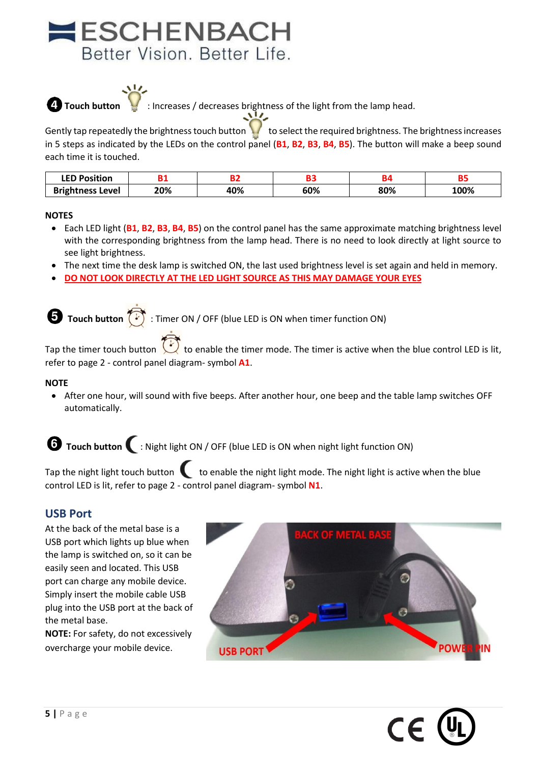# **ESCHENBACH** Better Vision. Better Life.



**Touch button**  $\blacksquare$ : Increases / decreases brightness of the light from the lamp head.

Gently tap repeatedly the brightness touch button  $\bigcup$  to select the required brightness. The brightness increases in 5 steps as indicated by the LEDs on the control panel (**B1**, **B2**, **B3**, **B4**, **B5**). The button will make a beep sound each time it is touched.

| <b>LED Position</b>     |     |     |     |     | --   |
|-------------------------|-----|-----|-----|-----|------|
| <b>Brightness Level</b> | 20% | 40% | 60% | 80% | 100% |

#### **NOTES**

- Each LED light (**B1**, **B2**, **B3**, **B4**, **B5**) on the control panel has the same approximate matching brightness level with the corresponding brightness from the lamp head. There is no need to look directly at light source to see light brightness.
- The next time the desk lamp is switched ON, the last used brightness level is set again and held in memory.
- **DO NOT LOOK DIRECTLY AT THE LED LIGHT SOURCE AS THIS MAY DAMAGE YOUR EYES**

**Touch button** : Timer ON / OFF (blue LED is ON when timer function ON)

Tap the timer touch button  $\bigcup_{k=1}^{\infty}$  to enable the timer mode. The timer is active when the blue control LED is lit, refer to page 2 - control panel diagram- symbol **A1**.

#### **NOTE**

• After one hour, will sound with five beeps. After another hour, one beep and the table lamp switches OFF automatically.

**Touch button** : Night light ON / OFF (blue LED is ON when night light function ON)

Tap the night light touch button  $\bullet$  to enable the night light mode. The night light is active when the blue control LED is lit, refer to page 2 - control panel diagram- symbol **N1**.

#### **USB Port**

At the back of the metal base is a USB port which lights up blue when the lamp is switched on, so it can be easily seen and located. This USB port can charge any mobile device. Simply insert the mobile cable USB plug into the USB port at the back of the metal base.

**NOTE:** For safety, do not excessively overcharge your mobile device.



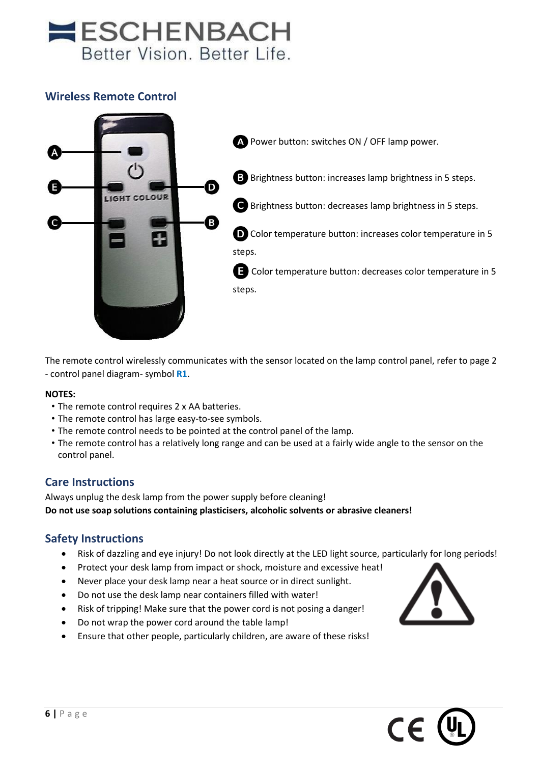# **ESCHENBACH** Better Vision, Better Life.

## **Wireless Remote Control**



The remote control wirelessly communicates with the sensor located on the lamp control panel, refer to page 2 - control panel diagram- symbol **R1**.

#### **NOTES:**

- The remote control requires 2 x AA batteries.
- The remote control has large easy-to-see symbols.
- The remote control needs to be pointed at the control panel of the lamp.
- The remote control has a relatively long range and can be used at a fairly wide angle to the sensor on the control panel.

### **Care Instructions**

Always unplug the desk lamp from the power supply before cleaning! **Do not use soap solutions containing plasticisers, alcoholic solvents or abrasive cleaners!**

### **Safety Instructions**

- Risk of dazzling and eye injury! Do not look directly at the LED light source, particularly for long periods!
- Protect your desk lamp from impact or shock, moisture and excessive heat!
- Never place your desk lamp near a heat source or in direct sunlight.
- Do not use the desk lamp near containers filled with water!
- Risk of tripping! Make sure that the power cord is not posing a danger!
- Do not wrap the power cord around the table lamp!
- Ensure that other people, particularly children, are aware of these risks!